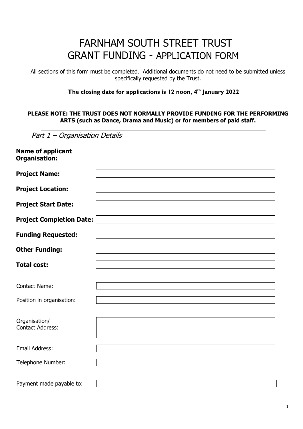# FARNHAM SOUTH STREET TRUST GRANT FUNDING - APPLICATION FORM

All sections of this form must be completed. Additional documents do not need to be submitted unless specifically requested by the Trust.

#### **The closing date for applications is 12 noon, 4 th January 2022**

#### **PLEASE NOTE: THE TRUST DOES NOT NORMALLY PROVIDE FUNDING FOR THE PERFORMING ARTS (such as Dance, Drama and Music) or for members of paid staff.**

| Part 1 - Organisation Details                    |  |
|--------------------------------------------------|--|
| <b>Name of applicant</b><br><b>Organisation:</b> |  |
| <b>Project Name:</b>                             |  |
| <b>Project Location:</b>                         |  |
| <b>Project Start Date:</b>                       |  |
| <b>Project Completion Date:</b>                  |  |
| <b>Funding Requested:</b>                        |  |
| <b>Other Funding:</b>                            |  |
| <b>Total cost:</b>                               |  |
|                                                  |  |
| <b>Contact Name:</b>                             |  |
| Position in organisation:                        |  |
| Organisation/<br><b>Contact Address:</b>         |  |
| Email Address:                                   |  |
| Telephone Number:                                |  |
| Payment made payable to:                         |  |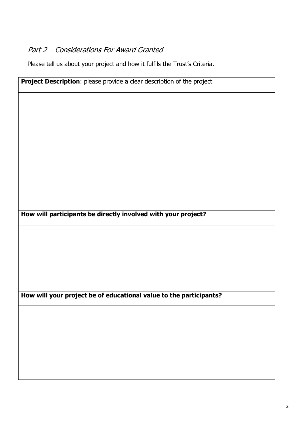### Part 2 – Considerations For Award Granted

Please tell us about your project and how it fulfils the Trust's Criteria.

**Project Description**: please provide a clear description of the project **How will participants be directly involved with your project? How will your project be of educational value to the participants?**